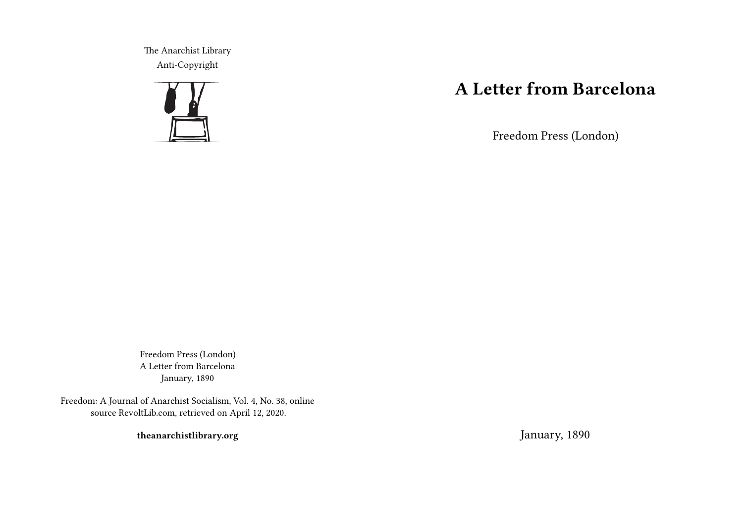The Anarchist Library Anti-Copyright



## **A Letter from Barcelona**

Freedom Press (London)

Freedom Press (London) A Letter from Barcelona January, 1890

Freedom: A Journal of Anarchist Socialism, Vol. 4, No. 38, online source RevoltLib.com, retrieved on April 12, 2020.

**theanarchistlibrary.org**

January, 1890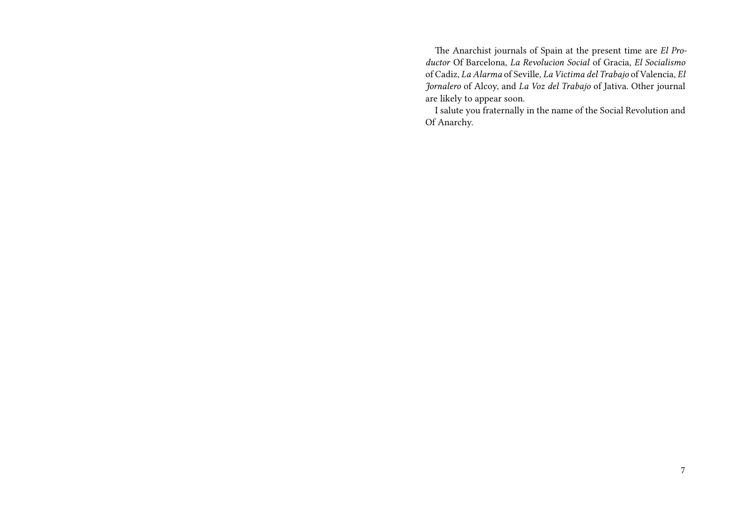The Anarchist journals of Spain at the present time are *El Productor* Of Barcelona, *La Revolucion Social* of Gracia, *El Socialismo* of Cadiz, *La Alarma* of Seville, *La Victima del Trabajo* of Valencia, *El Jornalero* of Alcoy, and *La Voz del Trabajo* of Jativa. Other journal are likely to appear soon.

I salute you fraternally in the name of the Social Revolution and Of Anarchy.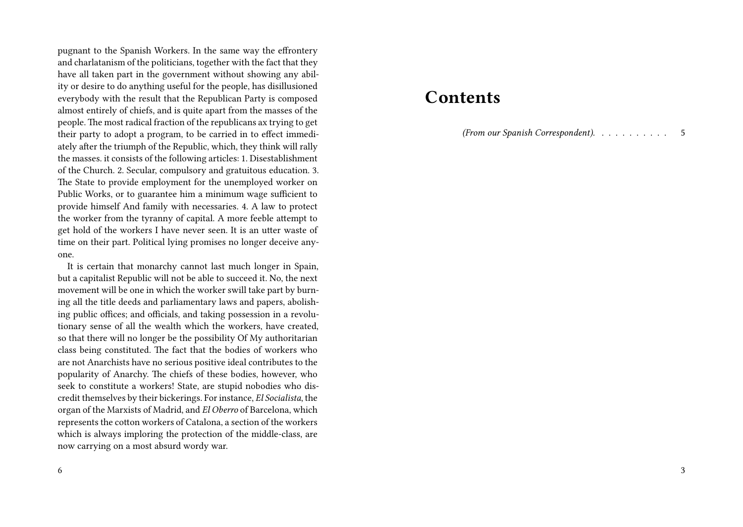pugnant to the Spanish Workers. In the same way the effrontery and charlatanism of the politicians, together with the fact that they have all taken part in the government without showing any ability or desire to do anything useful for the people, has disillusioned everybody with the result that the Republican Party is composed almost entirely of chiefs, and is quite apart from the masses of the people. The most radical fraction of the republicans ax trying to get their party to adopt a program, to be carried in to effect immediately after the triumph of the Republic, which, they think will rally the masses. it consists of the following articles: 1. Disestablishment of the Church. 2. Secular, compulsory and gratuitous education. 3. The State to provide employment for the unemployed worker on Public Works, or to guarantee him a minimum wage sufficient to provide himself And family with necessaries. 4. A law to protect the worker from the tyranny of capital. A more feeble attempt to get hold of the workers I have never seen. It is an utter waste of time on their part. Political lying promises no longer deceive anyone.

It is certain that monarchy cannot last much longer in Spain, but a capitalist Republic will not be able to succeed it. No, the next movement will be one in which the worker swill take part by burning all the title deeds and parliamentary laws and papers, abolishing public offices; and officials, and taking possession in a revolutionary sense of all the wealth which the workers, have created, so that there will no longer be the possibility Of My authoritarian class being constituted. The fact that the bodies of workers who are not Anarchists have no serious positive ideal contributes to the popularity of Anarchy. The chiefs of these bodies, however, who seek to constitute a workers! State, are stupid nobodies who discredit themselves by their bickerings. For instance, *El Socialista*, the organ of the Marxists of Madrid, and *El Oberro* of Barcelona, which represents the cotton workers of Catalona, a section of the workers which is always imploring the protection of the middle-class, are now carrying on a most absurd wordy war.

6

## **Contents**

*(From our Spanish Correspondent).* . . . . . . . . . . 5